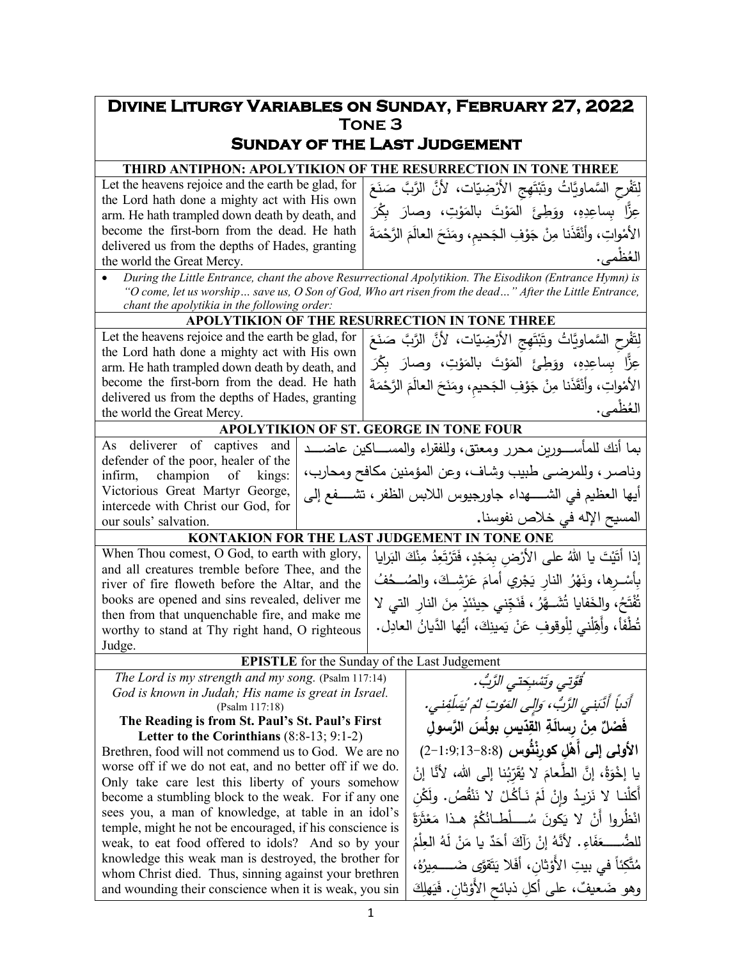## **Divine Liturgy Variables on Sunday, February 27, 2022 Tone 3 Sunday of the Last Judgement THIRD ANTIPHON: APOLYTIKION OF THE RESURRECTION IN TONE THREE** Let the heavens rejoice and the earth be glad, for the Lord hath done a mighty act with His own arm. He hath trampled down death by death, and become the first-born from the dead. He hath delivered us from the depths of Hades, granting the world the Great Mercy. لِتَفْرِحِ السَّماوِيَّاتُ وتَبْتَهِجِ الأَرْضِيَّات، لأَنَّ الرَّبَّ صَنَعَ ْ عِزًّا ُ بِساعِدِهِ، ووَطِئَ اَلمَوْتَ بِالمَوْتِ، وصارَ بِكْرَ<br>مَثَّا ْ الأمْواتِ، وأنْقَذَنا مِنْ جَوْفِ الجَحيمِ، ومَنَحَ العالَمَ الرَّحْمَةَ<br>سِيفْ ال ْظمى ع . ُ • *During the Little Entrance, chant the above Resurrectional Apolytikion. The Eisodikon (Entrance Hymn) is "O come, let us worship… save us, O Son of God, Who art risen from the dead…" After the Little Entrance, chant the apolytikia in the following order:* **APOLYTIKION OF THE RESURRECTION IN TONE THREE** Let the heavens rejoice and the earth be glad, for the Lord hath done a mighty act with His own arm. He hath trampled down death by death, and become the first-born from the dead. He hath delivered us from the depths of Hades, granting the world the Great Mercy. لِتَفْرِحِ السَّماويَّاتُ وتَبْتَهِجِ الأَرْضِيّات، لأَنَّ الرَّبَّ صَنَعَ ْ عِزًّا ُ بِساعِدِهِ، ووَطِئَ اَلمَوْتَ بالمَوْتِ، وصارَ بِكْرَ<br>\* ْ الأمْواتِ، وأنْقَذَنا مِنْ جَوْفِ الجَحيمِ، ومَنَحَ العالَمَ الرَّحْمَةَ<br>سيفة ال ْظمى ع . ُ **APOLYTIKION OF ST. GEORGE IN TONE FOUR** As deliverer of captives and defender of the poor, healer of the infirm, champion of kings: Victorious Great Martyr George, intercede with Christ our God, for our souls' salvation. بما أنك للمأســــورين محرر ومعتق، وللفقراء والمســـــاكین عاضـــــد وناصـر، وللمرضـى طبیب وشـاف، وعن المؤمنین مكافح ومحارب، أیها العظیم في الشـــــهداء جاورجیوس اللابس الظفر ، تشــــفع إلى المس�ح الإله في خلاص نفوسنا**. KONTAKION FOR THE LAST JUDGEMENT IN TONE ONE** When Thou comest, O God, to earth with glory, and all creatures tremble before Thee, and the river of fire floweth before the Altar, and the books are opened and sins revealed, deliver me then from that unquenchable fire, and make me worthy to stand at Thy right hand, O righteous Judge. إذا أَتَيْتَ يا اللهُ على الأَرْضِ بِمَجْدٍ، فَتَرْتَعِدُ مِنْكَ البَرايا<br>، .<br>ا بِأَسْــرِها، ونَهْرُ النارِ يَجْرِي أمامَ عَرْشِــكَ، والصُـــحُفُ<br>'' .<br>. .<br>ا تُفْتَحُ، والخَفايا تُشَــهَّرُ ، فَنَجِّنـي حِينَئذٍ مِنَ النارِ التي لا<br>. تُطْفَأ، وأَهِّلْني لِلْوقوفِ عَنْ يَمينِكَ، أيُّها الدَّيانُ العادِل. **EPISTLE** for the Sunday of the Last Judgement *The Lord is my strength and my song.* (Psalm 117:14) *God is known in Judah; His name is great in Israel.* (Psalm 117:18) **The Reading is from St. Paul's St. Paul's First Letter to the Corinthians** (8:8-13; 9:1-2) Brethren, food will not commend us to God. We are no worse off if we do not eat, and no better off if we do. Only take care lest this liberty of yours somehow become a stumbling block to the weak. For if any one sees you, a man of knowledge, at table in an idol's temple, might he not be encouraged, if his conscience is weak, to eat food offered to idols? And so by your knowledge this weak man is destroyed, the brother for whom Christ died. Thus, sinning against your brethren and wounding their conscience when it is weak, you sin ُّ قَوَّتي وتَسْبِحَتي الرَّبُّ. أَدْباً أَلَّدَبني الزَّبُّ، وَإِلَى الْمَوْتِ لْمُ يُسَلِّفِني فَصْلٌ مِنْ رِسالَةِ القَّدِّيسِ بولُسَ الرَّسولِ نُوتِ لَمْ نُيَسلِّفِني. **الأولى إلى أَهْلِ كورِنْثُوس (8:8−1:9;13−8;**2) <u>:</u> يا إخْوَةُ، إنَّ الطَّعامَ لا يُقَرِّبُنا إلى الله، لأنَّا إنْ<br>أَنْفُسُنَا بِالْمَسْمَعِ الْمُسْمَّلُ .<br>أ أَكْلَنـا لاَ نَزيـدُ وإِنْ لَمْ نَـأَكُـلْ لا نَنْقُصُ. ولَكْنِ<br>. ْ انْظُروا أَنْ لا يَكونَ سُـــــلطــانُكُمْ هـذا مَعْثَرَةً<br>ما يَسْمَدُ الله عليه السياط ْ للضُّــــــعَفَاءِ. لأَنَّهُ إنْ رَأَكَ أَحَدٌ يا مَنْ لَهُ العِلْمُ<br>" ،ُ ه ُ ِیر َ َّقوى ضـــــــــــــ َ م ت َ َلا ی ْ ِ ثان، أف ً ِ في بیت الأَو ِئا َّك ت ُ م وهو ضَعيفٌ، على أكلِ ذبائحِ الأَوْثانِ. فَيَهلِكَ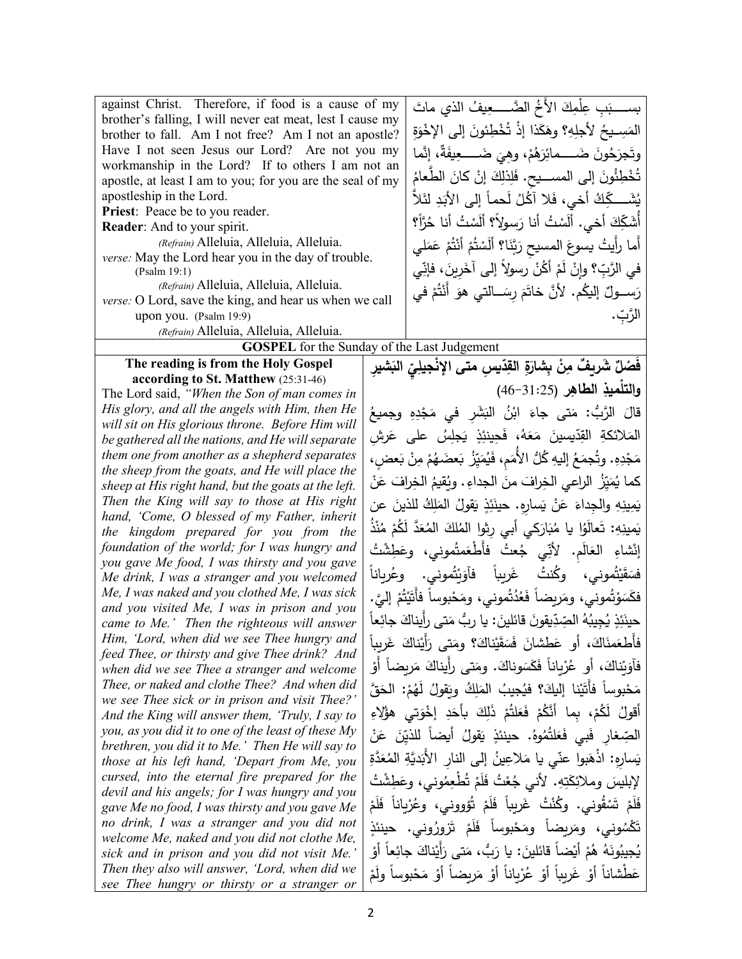| against Christ. Therefore, if food is a cause of my                                                    |                                             | بســــ بَبِ عِلْمِكَ الأَخُ الضَّـــــعِيفُ الذي ماتَ                                                                                             |  |
|--------------------------------------------------------------------------------------------------------|---------------------------------------------|---------------------------------------------------------------------------------------------------------------------------------------------------|--|
| brother's falling, I will never eat meat, lest I cause my                                              |                                             | المَسِــيحُ لأجلِهِ؟ وهَكَذا إذْ تُخْطِئونَ إلى الإخْوَةِ                                                                                         |  |
| brother to fall. Am I not free? Am I not an apostle?<br>Have I not seen Jesus our Lord? Are not you my |                                             |                                                                                                                                                   |  |
| workmanship in the Lord? If to others I am not an                                                      |                                             | وتَجرَحُونَ ضَــــمائِرَهُمْ، وهِيَ ضَــــعِيفَةٌ، إِنَّما                                                                                        |  |
| apostle, at least I am to you; for you are the seal of my                                              |                                             | تُخْطِئُونَ إِلَى المســـيح. فَلِذلِكَ إِنْ كانَ الطِّعامُ                                                                                        |  |
| apostleship in the Lord.                                                                               |                                             | يُشَــــكِّكُ أَخـى، فَلا آكُلُ لَحماً إلـى الأَبَدِ لئَلاِّ                                                                                      |  |
| Priest: Peace be to you reader.                                                                        |                                             |                                                                                                                                                   |  |
| Reader: And to your spirit.                                                                            |                                             | أَشَكِّكَ أَخي. أَلَسْتُ أَنا رَسولاً؟ أَلَسْتُ أَنا حُرَّأَ؟                                                                                     |  |
| (Refrain) Alleluia, Alleluia, Alleluia.                                                                |                                             | أَما رأَيتُ يسوعَ المسيح رَبَّنَا؟ أَلَسْتُمْ أَنْتُمْ عَمَلـى                                                                                    |  |
| verse: May the Lord hear you in the day of trouble.<br>(Psalm 19:1)                                    |                                             | في الرَّبِّ؟ وإنْ لَمْ أَكُنْ رسولاً إلى آخَرِينَ، فإنِّي                                                                                         |  |
| (Refrain) Alleluia, Alleluia, Alleluia.                                                                |                                             | رَســـولٌ إليكُم. لأنَّ خاتَمَ رِسَـــالتي هوَ أَنْتُمْ في                                                                                        |  |
| verse: O Lord, save the king, and hear us when we call                                                 |                                             |                                                                                                                                                   |  |
| upon you. (Psalm 19:9)                                                                                 |                                             | الرَّبّ.                                                                                                                                          |  |
| (Refrain) Alleluia, Alleluia, Alleluia.                                                                |                                             |                                                                                                                                                   |  |
| <b>GOSPEL</b> for the Sunday of the Last Judgement<br>The reading is from the Holy Gospel              |                                             |                                                                                                                                                   |  |
| according to St. Matthew (25:31-46)                                                                    |                                             | فَصْلٌ شَريفٌ مِنْ بِشارَةِ القِدّيسِ متى الإنْجيلِيّ البَشيرِ                                                                                    |  |
| The Lord said, "When the Son of man comes in                                                           |                                             | والتلْميذِ الطاهِرِ (31:25–46)                                                                                                                    |  |
| His glory, and all the angels with Him, then He                                                        |                                             | قالَ الرَّبُّ: مَتى جاءَ ابْنُ البَشَرِ في مَجْدِهِ وجميعُ                                                                                        |  |
| will sit on His glorious throne. Before Him will                                                       |                                             | المَلائكةِ القِدّيسينَ مَعَهُ، فَحِينئِذٍ يَجلِسُ على عَرش                                                                                        |  |
| be gathered all the nations, and He will separate<br>them one from another as a shepherd separates     |                                             |                                                                                                                                                   |  |
| the sheep from the goats, and He will place the                                                        |                                             | مَجْدِهِ. وتُجمَعُ إليهِ كُلُّ الأُمَمِ، فَيُمَيِّزُ بَعضَهُمْ مِنْ بَعضٍ،                                                                        |  |
| sheep at His right hand, but the goats at the left.                                                    |                                             | كما يُمَيِّزُ الراعي الخِرافَ منَ الجداءِ . ويُقيمُ الخِرافَ عَنْ                                                                                 |  |
| Then the King will say to those at His right                                                           |                                             | يَمِينِهِ والجِداءَ عَنْ يَسارِهِ. حينَئِذٍ يَقولُ المَلِكُ للذينَ عن                                                                             |  |
| hand, 'Come, O blessed of my Father, inherit                                                           |                                             | يَمينِهِ: تَعالَوُا يا مُبَارَكي أَبي رِثوا المُلكَ المُعَدَّ لَكُمْ مُنْذُ                                                                       |  |
| the kingdom prepared for you from the<br>foundation of the world; for I was hungry and                 |                                             |                                                                                                                                                   |  |
| you gave Me food, I was thirsty and you gave                                                           |                                             | إِنْشاءِ العَالَمِ. لأَنِّي جُعتُ فأطْعَمتُموني، وعَطِشْتُ                                                                                        |  |
| Me drink, I was a stranger and you welcomed                                                            |                                             | فسَقَيْتُمونى، وكُنتُ غَربِباً فآوَيْتُمونى. وعُرياناً                                                                                            |  |
| Me, I was naked and you clothed Me, I was sick                                                         |                                             | فكَسَوْتُموني، ومَربِضاً فَعُدُتُموني، ومَحْبوساً فأتَيْتُمْ إليَّ.                                                                               |  |
| came to Me.' Then the righteous will answer                                                            | and you visited Me, I was in prison and you |                                                                                                                                                   |  |
| Him, 'Lord, when did we see Thee hungry and                                                            |                                             | حينَئِذٍ يُجِيبُهُ الصِّدِّيقونَ قائلينَ: يا ربُّ مَتى رأيناكَ جائِعاً<br>فَأَطْعَمنَاكَ، أَو عَطْشَانَ فَسَقَيْناكَ؟ ومَتَّى رَأَيْناكَ غَرِيباً |  |
| feed Thee, or thirsty and give Thee drink? And                                                         |                                             | فَأَوَنْناكَ، أَو عُرْباناً فَكَسَوناكَ. ومَتى رأَيناكَ مَريضاً أَوْ                                                                              |  |
| when did we see Thee a stranger and welcome<br>Thee, or naked and clothe Thee? And when did            |                                             |                                                                                                                                                   |  |
| we see Thee sick or in prison and visit Thee?'                                                         |                                             | مَحْبوساً فأتَيْنا إليكَ؟ فيُجيبُ المَلِكُ وبَقولُ لَهُمْ: الحَقَّ                                                                                |  |
| And the King will answer them, 'Truly, I say to                                                        |                                             | أَقولُ لَكُمْ، بما أَنَّكُمْ فَعَلْتُمْ ذَلِكَ بأَحَدِ إخْوَتي هؤُلِاءِ                                                                           |  |
| you, as you did it to one of the least of these My                                                     |                                             | الصِّغارِ فَبِي فَعَلتُمُوهُ. حينئذٍ يَقولُ أيضاً للذيِّنَ عَنْ                                                                                   |  |
| brethren, you did it to Me.' Then He will say to<br>those at his left hand, 'Depart from Me, you       |                                             | يَسارِهِ: اذْهَبوا عنّى يا مَلاعِينُ إِلى النار الأَبَديَّةِ المُعَدَّةِ                                                                          |  |
| cursed, into the eternal fire prepared for the                                                         |                                             | لإبليسَ وملائِكَتِهِ. لأنـى جُعْتُ فَلَمْ تُطْعِمُونـى، وعَطِشْتُ                                                                                 |  |
| devil and his angels; for I was hungry and you                                                         |                                             |                                                                                                                                                   |  |
| gave Me no food, I was thirsty and you gave Me<br>no drink, I was a stranger and you did not           |                                             | فَلَمْ تَسْقُوني. وكُنْتُ غَرِيباً فَلَمْ تُؤووني، وعُرْياناً فَلَمْ                                                                              |  |
| welcome Me, naked and you did not clothe Me,                                                           |                                             | تَكْسُونى، ومَربِضاً ومَحْبوساً فَلَمْ تَرْورُونى. حينئذٍ                                                                                         |  |
| sick and in prison and you did not visit Me.'                                                          |                                             | يُجيبُونَهُ هُمْ أَيْضاً قائلينَ: يا رَبُّ، مَتى رَأَيْناكَ جائِعاً أَوْ                                                                          |  |
| Then they also will answer, 'Lord, when did we<br>see Thee hungry or thirsty or a stranger or          |                                             | عَطْشاناً أَوْ غَرِيباً أَوْ عُرْيِاناً أَوْ مَرِيضاً أَوْ مَحْبوساً ولَمْ                                                                        |  |
|                                                                                                        |                                             |                                                                                                                                                   |  |